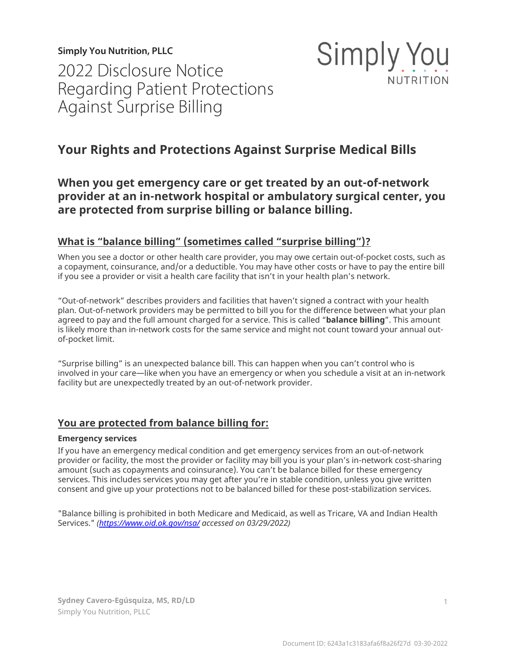**Simply You Nutrition, PLLC** 2022 Disclosure Notice Regarding Patient Protections Against Surprise Billing



# **Your Rights and Protections Against Surprise Medical Bills**

## **When you get emergency care or get treated by an out-of-network provider at an in-network hospital or ambulatory surgical center, you are protected from surprise billing or balance billing.**

## **What is "balance billing" (sometimes called "surprise billing")?**

When you see a doctor or other health care provider, you may owe certain out-of-pocket costs, such as a copayment, coinsurance, and/or a deductible. You may have other costs or have to pay the entire bill if you see a provider or visit a health care facility that isn't in your health plan's network.

"Out-of-network" describes providers and facilities that haven't signed a contract with your health plan. Out-of-network providers may be permitted to bill you for the difference between what your plan agreed to pay and the full amount charged for a service. This is called "**balance billing**". This amount is likely more than in-network costs for the same service and might not count toward your annual outof-pocket limit.

"Surprise billing" is an unexpected balance bill. This can happen when you can't control who is involved in your care—like when you have an emergency or when you schedule a visit at an in-network facility but are unexpectedly treated by an out-of-network provider.

## **You are protected from balance billing for:**

#### **Emergency services**

If you have an emergency medical condition and get emergency services from an out-of-network provider or facility, the most the provider or facility may bill you is your plan's in-network cost-sharing amount (such as copayments and coinsurance). You can't be balance billed for these emergency services. This includes services you may get after you're in stable condition, unless you give written consent and give up your protections not to be balanced billed for these post-stabilization services.

"Balance billing is prohibited in both Medicare and Medicaid, as well as Tricare, VA and Indian Health Services." *(<https://www.oid.ok.gov/nsa/> accessed on 03/29/2022)*